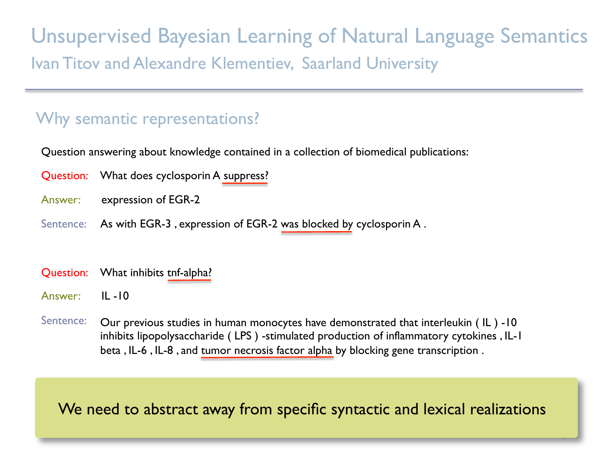Unsupervised Bayesian Learning of Natural Language Semantics Ivan Titov and Alexandre Klementiev, Saarland University

### Why semantic representations?

Question answering about knowledge contained in a collection of biomedical publications:

- Question: What does cyclosporin A suppress?
- Answer: expression of EGR-2
- Sentence: As with EGR-3, expression of EGR-2 was blocked by cyclosporin A.
- Question: What inhibits tnf-alpha?
- Answer: IL -10

j

Sentence: Our previous studies in human monocytes have demonstrated that interleukin (IL) -10 inhibits lipopolysaccharide ( LPS ) -stimulated production of inflammatory cytokines , IL-1 beta , IL-6 , IL-8 , and tumor necrosis factor alpha by blocking gene transcription .

#### We need to abstract away from specific syntactic and lexical realizations

1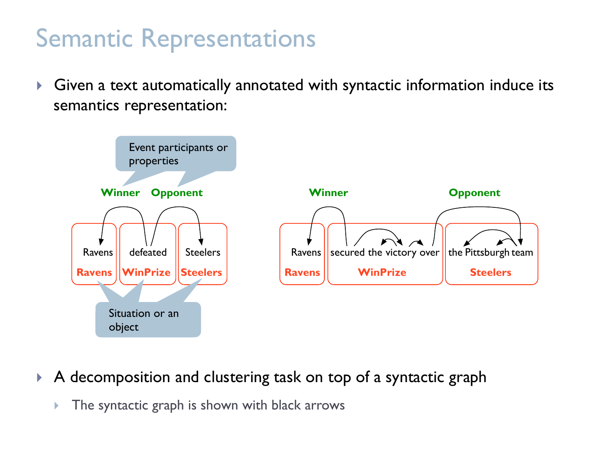### Semantic Representations

! Given a text automatically annotated with syntactic information induce its semantics representation:



#### A decomposition and clustering task on top of a syntactic graph

 $\triangleright$  The syntactic graph is shown with black arrows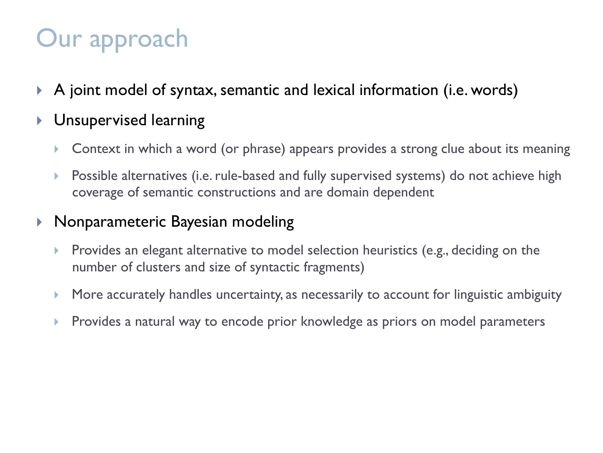# Our approach

- $\blacktriangleright$  A joint model of syntax, semantic and lexical information (i.e. words)
- **I** Unsupervised learning
	- **EXEC** 10 Moorth contribution a word (or phrase) appears provides a strong clue about its meaning
	- **EXE** Possible alternatives (i.e. rule-based and fully supervised systems) do not achieve high coverage of semantic constructions and are domain dependent

#### **Nonparameteric Bayesian modeling**

- **EXECT** Provides an elegant alternative to model selection heuristics (e.g., deciding on the number of clusters and size of syntactic fragments)
- ! More accurately handles uncertainty, as necessarily to account for linguistic ambiguity
- **EXPED 12** Provides a natural way to encode prior knowledge as priors on model parameters